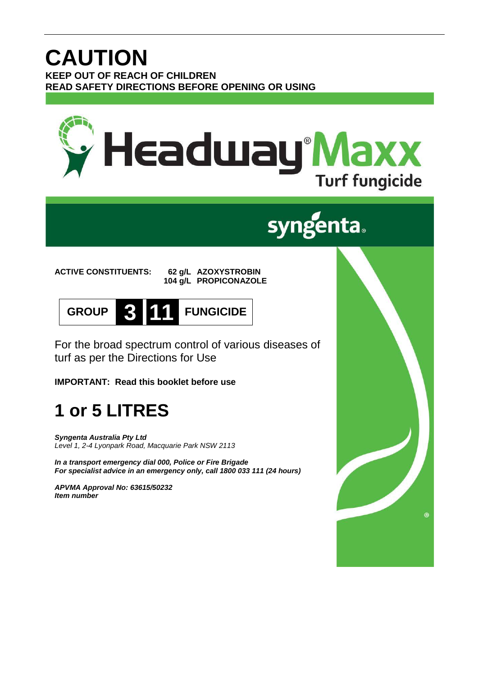## **CAUTION KEEP OUT OF REACH OF CHILDREN READ SAFETY DIRECTIONS BEFORE OPENING OR USING**



# **syngenta.**

**ACTIVE CONSTITUENTS: 62 g/L AZOXYSTROBIN 104 g/L PROPICONAZOLE**



For the broad spectrum control of various diseases of turf as per the Directions for Use

**IMPORTANT: Read this booklet before use**

# **1 or 5 LITRES**

*Syngenta Australia Pty Ltd Level 1, 2-4 Lyonpark Road, Macquarie Park NSW 2113*

*In a transport emergency dial 000, Police or Fire Brigade For specialist advice in an emergency only, call 1800 033 111 (24 hours)*

*APVMA Approval No: 63615/50232 Item number*

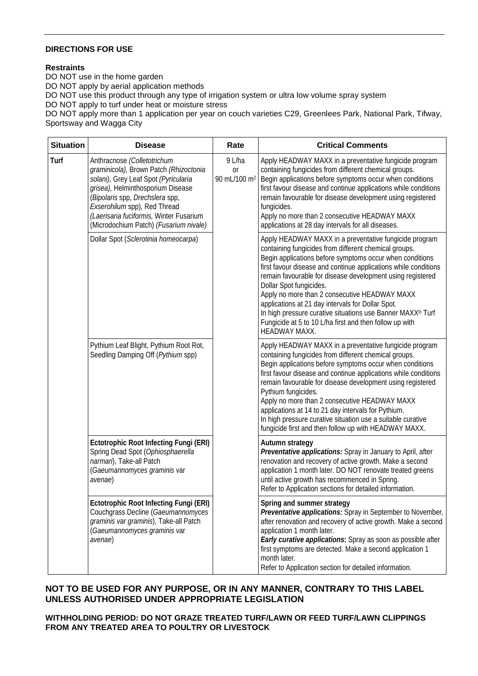### **DIRECTIONS FOR USE**

### **Restraints**

DO NOT use in the home garden DO NOT apply by aerial application methods DO NOT use this product through any type of irrigation system or ultra low volume spray system DO NOT apply to turf under heat or moisture stress DO NOT apply more than 1 application per year on couch varieties C29, Greenlees Park, National Park, Tifway, Sportsway and Wagga City

| <b>Situation</b> | <b>Disease</b>                                                                                                                                                                                                                                                                                             | Rate                                            | <b>Critical Comments</b>                                                                                                                                                                                                                                                                                                                                                                                                                                                                                                                                                                |
|------------------|------------------------------------------------------------------------------------------------------------------------------------------------------------------------------------------------------------------------------------------------------------------------------------------------------------|-------------------------------------------------|-----------------------------------------------------------------------------------------------------------------------------------------------------------------------------------------------------------------------------------------------------------------------------------------------------------------------------------------------------------------------------------------------------------------------------------------------------------------------------------------------------------------------------------------------------------------------------------------|
| Turf             | Anthracnose (Colletotrichum<br>graminicola), Brown Patch (Rhizoctonia<br>solani), Grey Leaf Spot (Pyricularia<br>grisea), Helminthosporium Disease<br>(Bipolaris spp, Drechslera spp,<br>Exserohilum spp), Red Thread<br>(Laerisaria fuciformis, Winter Fusarium<br>(Microdochium Patch) (Fusarium nivale) | 9 L/ha<br><b>or</b><br>90 mL/100 m <sup>2</sup> | Apply HEADWAY MAXX in a preventative fungicide program<br>containing fungicides from different chemical groups.<br>Begin applications before symptoms occur when conditions<br>first favour disease and continue applications while conditions<br>remain favourable for disease development using registered<br>fungicides.<br>Apply no more than 2 consecutive HEADWAY MAXX<br>applications at 28 day intervals for all diseases.                                                                                                                                                      |
|                  | Dollar Spot (Sclerotinia homeocarpa)                                                                                                                                                                                                                                                                       |                                                 | Apply HEADWAY MAXX in a preventative fungicide program<br>containing fungicides from different chemical groups.<br>Begin applications before symptoms occur when conditions<br>first favour disease and continue applications while conditions<br>remain favourable for disease development using registered<br>Dollar Spot fungicides.<br>Apply no more than 2 consecutive HEADWAY MAXX<br>applications at 21 day intervals for Dollar Spot.<br>In high pressure curative situations use Banner MAXX® Turf<br>Fungicide at 5 to 10 L/ha first and then follow up with<br>HEADWAY MAXX. |
|                  | Pythium Leaf Blight, Pythium Root Rot,<br>Seedling Damping Off (Pythium spp)                                                                                                                                                                                                                               |                                                 | Apply HEADWAY MAXX in a preventative fungicide program<br>containing fungicides from different chemical groups.<br>Begin applications before symptoms occur when conditions<br>first favour disease and continue applications while conditions<br>remain favourable for disease development using registered<br>Pythium fungicides.<br>Apply no more than 2 consecutive HEADWAY MAXX<br>applications at 14 to 21 day intervals for Pythium.<br>In high pressure curative situation use a suitable curative<br>fungicide first and then follow up with HEADWAY MAXX.                     |
|                  | <b>Ectotrophic Root Infecting Fungi (ERI)</b><br>Spring Dead Spot (Ophiosphaerella<br>narmari), Take-all Patch<br>(Gaeumannomyces graminis var<br>avenae)                                                                                                                                                  |                                                 | Autumn strategy<br>Preventative applications: Spray in January to April, after<br>renovation and recovery of active growth. Make a second<br>application 1 month later. DO NOT renovate treated greens<br>until active growth has recommenced in Spring.<br>Refer to Application sections for detailed information.                                                                                                                                                                                                                                                                     |
|                  | <b>Ectotrophic Root Infecting Fungi (ERI)</b><br>Couchgrass Decline (Gaeumannomyces<br>graminis var graminis), Take-all Patch<br>(Gaeumannomyces graminis var<br>avenae)                                                                                                                                   |                                                 | Spring and summer strategy<br>Preventative applications: Spray in September to November,<br>after renovation and recovery of active growth. Make a second<br>application 1 month later.<br>Early curative applications: Spray as soon as possible after<br>first symptoms are detected. Make a second application 1<br>month later.<br>Refer to Application section for detailed information.                                                                                                                                                                                           |

### **NOT TO BE USED FOR ANY PURPOSE, OR IN ANY MANNER, CONTRARY TO THIS LABEL UNLESS AUTHORISED UNDER APPROPRIATE LEGISLATION**

**WITHHOLDING PERIOD: DO NOT GRAZE TREATED TURF/LAWN OR FEED TURF/LAWN CLIPPINGS FROM ANY TREATED AREA TO POULTRY OR LIVESTOCK**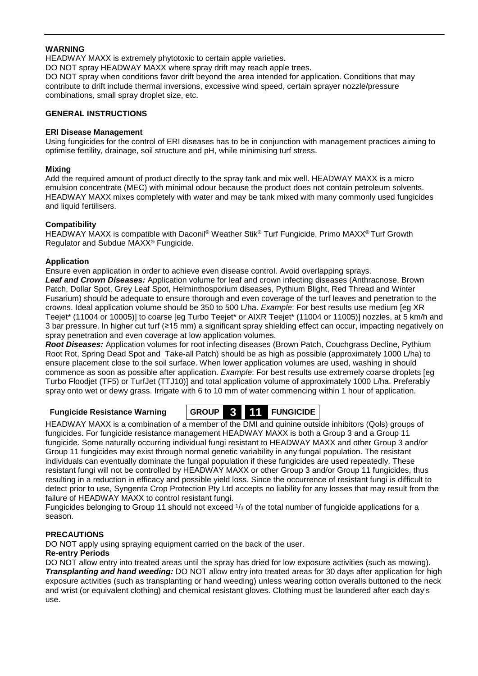### **WARNING**

HEADWAY MAXX is extremely phytotoxic to certain apple varieties.

DO NOT spray HEADWAY MAXX where spray drift may reach apple trees.

DO NOT spray when conditions favor drift beyond the area intended for application. Conditions that may contribute to drift include thermal inversions, excessive wind speed, certain sprayer nozzle/pressure combinations, small spray droplet size, etc.

### **GENERAL INSTRUCTIONS**

### **ERI Disease Management**

Using fungicides for the control of ERI diseases has to be in conjunction with management practices aiming to optimise fertility, drainage, soil structure and pH, while minimising turf stress.

### **Mixing**

Add the required amount of product directly to the spray tank and mix well. HEADWAY MAXX is a micro emulsion concentrate (MEC) with minimal odour because the product does not contain petroleum solvents. HEADWAY MAXX mixes completely with water and may be tank mixed with many commonly used fungicides and liquid fertilisers.

### **Compatibility**

HEADWAY MAXX is compatible with Daconil® Weather Stik® Turf Fungicide, Primo MAXX® Turf Growth Regulator and Subdue MAXX® Fungicide.

### **Application**

Ensure even application in order to achieve even disease control. Avoid overlapping sprays. *Leaf and Crown Diseases:* Application volume for leaf and crown infecting diseases (Anthracnose, Brown Patch, Dollar Spot, Grey Leaf Spot, Helminthosporium diseases, Pythium Blight, Red Thread and Winter Fusarium) should be adequate to ensure thorough and even coverage of the turf leaves and penetration to the crowns. Ideal application volume should be 350 to 500 L/ha. *Example*: For best results use medium [eg XR Teejet\* (11004 or 10005)] to coarse [eg Turbo Teejet\* or AIXR Teejet\* (11004 or 11005)] nozzles, at 5 km/h and 3 bar pressure. In higher cut turf (≥15 mm) a significant spray shielding effect can occur, impacting negatively on spray penetration and even coverage at low application volumes.

*Root Diseases:* Application volumes for root infecting diseases (Brown Patch, Couchgrass Decline, Pythium Root Rot, Spring Dead Spot and Take-all Patch) should be as high as possible (approximately 1000 L/ha) to ensure placement close to the soil surface. When lower application volumes are used, washing in should commence as soon as possible after application. *Example*: For best results use extremely coarse droplets [eg Turbo Floodjet (TF5) or TurfJet (TTJ10)] and total application volume of approximately 1000 L/ha. Preferably spray onto wet or dewy grass. Irrigate with 6 to 10 mm of water commencing within 1 hour of application.



HEADWAY MAXX is a combination of a member of the DMI and quinine outside inhibitors (Qols) groups of fungicides. For fungicide resistance management HEADWAY MAXX is both a Group 3 and a Group 11 fungicide. Some naturally occurring individual fungi resistant to HEADWAY MAXX and other Group 3 and/or Group 11 fungicides may exist through normal genetic variability in any fungal population. The resistant individuals can eventually dominate the fungal population if these fungicides are used repeatedly. These resistant fungi will not be controlled by HEADWAY MAXX or other Group 3 and/or Group 11 fungicides, thus resulting in a reduction in efficacy and possible yield loss. Since the occurrence of resistant fungi is difficult to detect prior to use, Syngenta Crop Protection Pty Ltd accepts no liability for any losses that may result from the failure of HEADWAY MAXX to control resistant fungi.

Fungicides belonging to Group 11 should not exceed 1/3 of the total number of fungicide applications for a season.

### **PRECAUTIONS**

DO NOT apply using spraying equipment carried on the back of the user.

### **Re-entry Periods**

DO NOT allow entry into treated areas until the spray has dried for low exposure activities (such as mowing). *Transplanting and hand weeding:* DO NOT allow entry into treated areas for 30 days after application for high exposure activities (such as transplanting or hand weeding) unless wearing cotton overalls buttoned to the neck and wrist (or equivalent clothing) and chemical resistant gloves. Clothing must be laundered after each day's use.